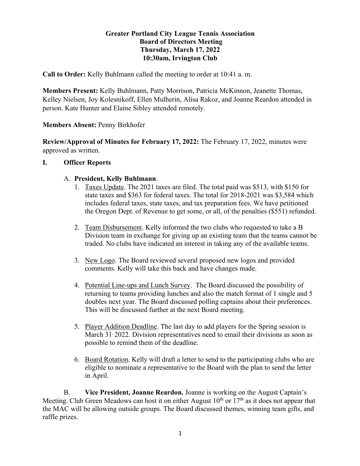## **Greater Portland City League Tennis Association Board of Directors Meeting Thursday, March 17, 2022 10:30am, Irvington Club**

**Call to Order:** Kelly Buhlmann called the meeting to order at 10:41 a. m.

**Members Present:** Kelly Buhlmann, Patty Morrison, Patricia McKinnon, Jeanette Thomas, Kelley Nielsen, Joy Kolesnikoff, Ellen Mulherin, Alisa Rakoz, and Joanne Reardon attended in person. Kate Hunter and Elaine Sibley attended remotely.

#### **Members Absent:** Penny Birkhofer

**Review/Approval of Minutes for February 17, 2022:** The February 17, 2022, minutes were approved as written.

#### **I. Officer Reports**

#### A. **President, Kelly Buhlmann**.

- 1. Taxes Update. The 2021 taxes are filed. The total paid was \$513, with \$150 for state taxes and \$363 for federal taxes. The total for 2018-2021 was \$3,584 which includes federal taxes, state taxes, and tax preparation fees. We have petitioned the Oregon Dept. of Revenue to get some, or all, of the penalties (\$551) refunded.
- 2. Team Disbursement. Kelly informed the two clubs who requested to take a B Division team in exchange for giving up an existing team that the teams cannot be traded. No clubs have indicated an interest in taking any of the available teams.
- 3. New Logo. The Board reviewed several proposed new logos and provided comments. Kelly will take this back and have changes made.
- 4. Potential Line-ups and Lunch Survey. The Board discussed the possibility of returning to teams providing lunches and also the match format of 1 single and 5 doubles next year. The Board discussed polling captains about their preferences. This will be discussed further at the next Board meeting.
- 5. Player Addition Deadline. The last day to add players for the Spring session is March 31<sup>,</sup> 2022. Division representatives need to email their divisions as soon as possible to remind them of the deadline.
- 6. Board Rotation. Kelly will draft a letter to send to the participating clubs who are eligible to nominate a representative to the Board with the plan to send the letter in April.

B. **Vice President, Joanne Reardon.** Joanne is working on the August Captain's Meeting. Club Green Meadows can host it on either August  $10<sup>th</sup>$  or  $17<sup>th</sup>$  as it does not appear that the MAC will be allowing outside groups. The Board discussed themes, winning team gifts, and raffle prizes.